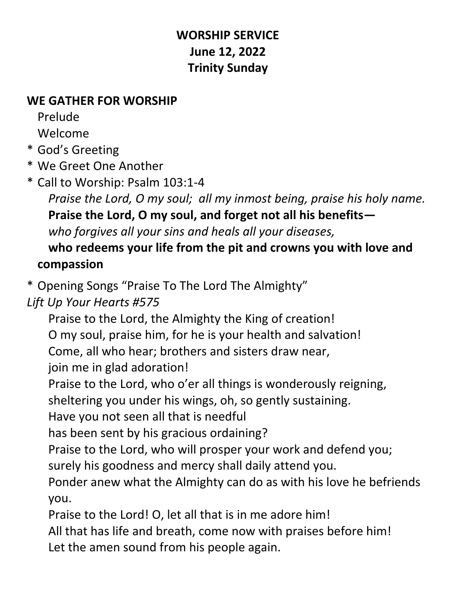## **WORSHIP SERVICE June 12, 2022 Trinity Sunday**

#### **WE GATHER FOR WORSHIP**

Prelude

Welcome

\* God's Greeting

\* We Greet One Another

\* Call to Worship: Psalm 103:1-4

*Praise the Lord, O my soul; all my inmost being, praise his holy name.* **Praise the Lord, O my soul, and forget not all his benefits** *who forgives all your sins and heals all your diseases,*

## **who redeems your life from the pit and crowns you with love and compassion**

\* Opening Songs "Praise To The Lord The Almighty"

*Lift Up Your Hearts #575*

Praise to the Lord, the Almighty the King of creation! O my soul, praise him, for he is your health and salvation! Come, all who hear; brothers and sisters draw near,

join me in glad adoration!

Praise to the Lord, who o'er all things is wonderously reigning,

sheltering you under his wings, oh, so gently sustaining.

Have you not seen all that is needful

has been sent by his gracious ordaining?

Praise to the Lord, who will prosper your work and defend you;

surely his goodness and mercy shall daily attend you.

Ponder anew what the Almighty can do as with his love he befriends you.

Praise to the Lord! O, let all that is in me adore him!

All that has life and breath, come now with praises before him! Let the amen sound from his people again.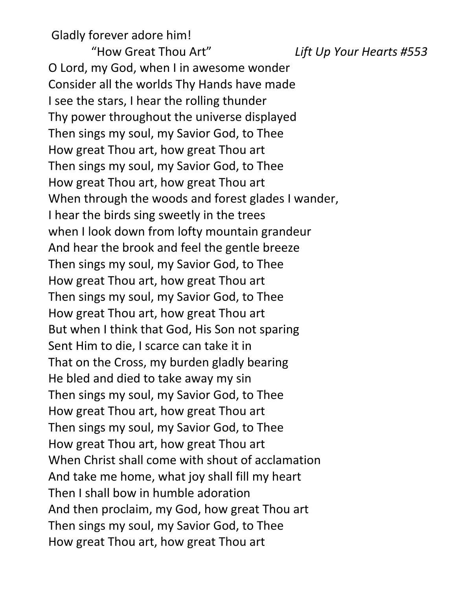Gladly forever adore him!

"How Great Thou Art" *Lift Up Your Hearts #553* O Lord, my God, when I in awesome wonder Consider all the worlds Thy Hands have made I see the stars, I hear the rolling thunder Thy power throughout the universe displayed Then sings my soul, my Savior God, to Thee How great Thou art, how great Thou art Then sings my soul, my Savior God, to Thee How great Thou art, how great Thou art When through the woods and forest glades I wander, I hear the birds sing sweetly in the trees when I look down from lofty mountain grandeur And hear the brook and feel the gentle breeze Then sings my soul, my Savior God, to Thee How great Thou art, how great Thou art Then sings my soul, my Savior God, to Thee How great Thou art, how great Thou art But when I think that God, His Son not sparing Sent Him to die, I scarce can take it in That on the Cross, my burden gladly bearing He bled and died to take away my sin Then sings my soul, my Savior God, to Thee How great Thou art, how great Thou art Then sings my soul, my Savior God, to Thee How great Thou art, how great Thou art When Christ shall come with shout of acclamation And take me home, what joy shall fill my heart Then I shall bow in humble adoration And then proclaim, my God, how great Thou art Then sings my soul, my Savior God, to Thee How great Thou art, how great Thou art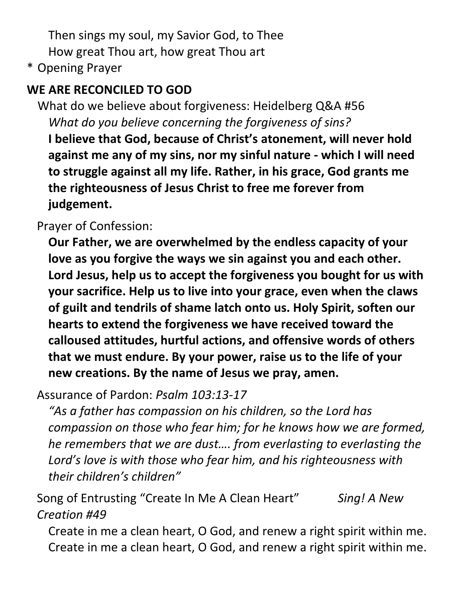Then sings my soul, my Savior God, to Thee How great Thou art, how great Thou art

\* Opening Prayer

# **WE ARE RECONCILED TO GOD**

What do we believe about forgiveness: Heidelberg Q&A #56 *What do you believe concerning the forgiveness of sins?* **I believe that God, because of Christ's atonement, will never hold against me any of my sins, nor my sinful nature - which I will need to struggle against all my life. Rather, in his grace, God grants me the righteousness of Jesus Christ to free me forever from judgement.**

Prayer of Confession:

**Our Father, we are overwhelmed by the endless capacity of your love as you forgive the ways we sin against you and each other. Lord Jesus, help us to accept the forgiveness you bought for us with your sacrifice. Help us to live into your grace, even when the claws of guilt and tendrils of shame latch onto us. Holy Spirit, soften our hearts to extend the forgiveness we have received toward the calloused attitudes, hurtful actions, and offensive words of others that we must endure. By your power, raise us to the life of your new creations. By the name of Jesus we pray, amen.**

Assurance of Pardon: *Psalm 103:13-17*

*"As a father has compassion on his children, so the Lord has compassion on those who fear him; for he knows how we are formed, he remembers that we are dust…. from everlasting to everlasting the Lord's love is with those who fear him, and his righteousness with their children's children"*

Song of Entrusting "Create In Me A Clean Heart" *Sing! A New Creation #49*

Create in me a clean heart, O God, and renew a right spirit within me. Create in me a clean heart, O God, and renew a right spirit within me.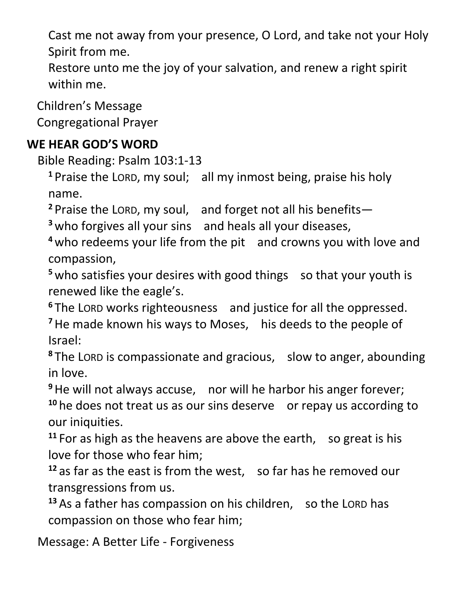Cast me not away from your presence, O Lord, and take not your Holy Spirit from me.

Restore unto me the joy of your salvation, and renew a right spirit within me.

Children's Message

Congregational Prayer

## **WE HEAR GOD'S WORD**

Bible Reading: Psalm 103:1-13

**<sup>1</sup>** Praise the LORD, my soul; all my inmost being, praise his holy name.

**<sup>2</sup>** Praise the LORD, my soul, and forget not all his benefits—

**<sup>3</sup>** who forgives all your sins and heals all your diseases,

**<sup>4</sup>** who redeems your life from the pit and crowns you with love and compassion,

<sup>5</sup> who satisfies your desires with good things so that your youth is renewed like the eagle's.

**<sup>6</sup>** The LORD works righteousness and justice for all the oppressed.

**<sup>7</sup>**He made known his ways to Moses, his deeds to the people of Israel:

**<sup>8</sup>** The LORD is compassionate and gracious, slow to anger, abounding in love.

**<sup>9</sup>**He will not always accuse, nor will he harbor his anger forever;

<sup>10</sup> he does not treat us as our sins deserve or repay us according to our iniquities.

**<sup>11</sup>** For as high as the heavens are above the earth, so great is his love for those who fear him;

**<sup>12</sup>** as far as the east is from the west, so far has he removed our transgressions from us.

**<sup>13</sup>** As a father has compassion on his children, so the LORD has compassion on those who fear him;

Message: A Better Life - Forgiveness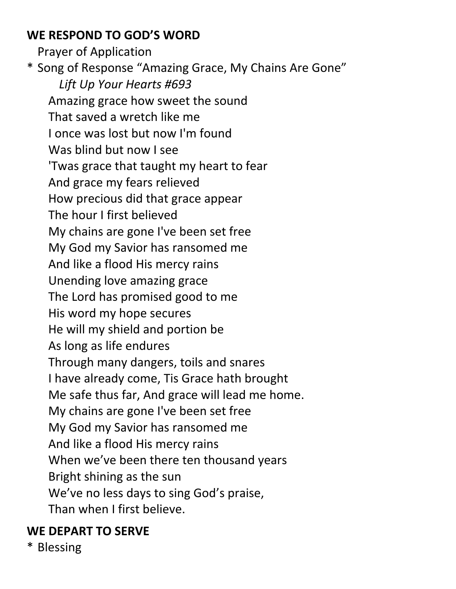#### **WE RESPOND TO GOD'S WORD**

Prayer of Application \* Song of Response "Amazing Grace, My Chains Are Gone" *Lift Up Your Hearts #693* Amazing grace how sweet the sound That saved a wretch like me I once was lost but now I'm found Was blind but now I see 'Twas grace that taught my heart to fear And grace my fears relieved How precious did that grace appear The hour I first believed My chains are gone I've been set free My God my Savior has ransomed me And like a flood His mercy rains Unending love amazing grace The Lord has promised good to me His word my hope secures He will my shield and portion be As long as life endures Through many dangers, toils and snares I have already come, Tis Grace hath brought Me safe thus far, And grace will lead me home. My chains are gone I've been set free My God my Savior has ransomed me And like a flood His mercy rains When we've been there ten thousand years Bright shining as the sun We've no less days to sing God's praise, Than when I first believe.

#### **WE DEPART TO SERVE**

\* Blessing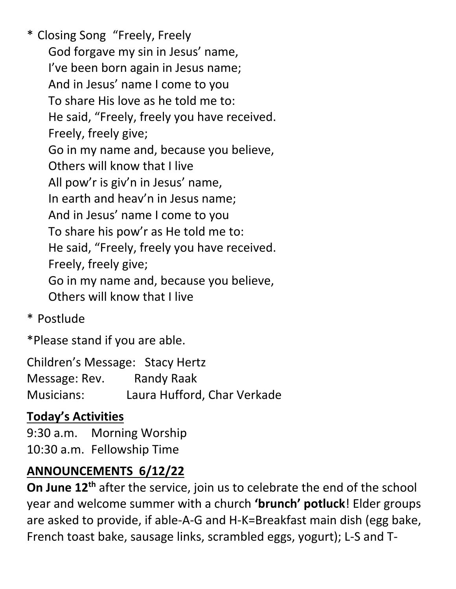\* Closing Song "Freely, Freely God forgave my sin in Jesus' name, I've been born again in Jesus name; And in Jesus' name I come to you To share His love as he told me to: He said, "Freely, freely you have received. Freely, freely give; Go in my name and, because you believe, Others will know that I live All pow'r is giv'n in Jesus' name, In earth and heav'n in Jesus name; And in Jesus' name I come to you To share his pow'r as He told me to: He said, "Freely, freely you have received. Freely, freely give; Go in my name and, because you believe, Others will know that I live

\* Postlude

\*Please stand if you are able.

Children's Message: Stacy Hertz Message: Rev. Randy Raak Musicians: Laura Hufford, Char Verkade

# **Today's Activities**

9:30 a.m. Morning Worship 10:30 a.m. Fellowship Time

# **ANNOUNCEMENTS 6/12/22**

**On June 12th** after the service, join us to celebrate the end of the school year and welcome summer with a church **'brunch' potluck**! Elder groups are asked to provide, if able-A-G and H-K=Breakfast main dish (egg bake, French toast bake, sausage links, scrambled eggs, yogurt); L-S and T-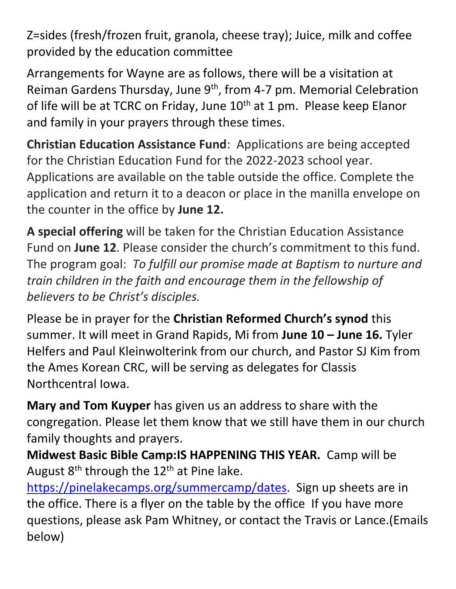Z=sides (fresh/frozen fruit, granola, cheese tray); Juice, milk and coffee provided by the education committee

Arrangements for Wayne are as follows, there will be a visitation at Reiman Gardens Thursday, June 9<sup>th</sup>, from 4-7 pm. Memorial Celebration of life will be at TCRC on Friday, June 10<sup>th</sup> at 1 pm. Please keep Elanor and family in your prayers through these times.

**Christian Education Assistance Fund**: Applications are being accepted for the Christian Education Fund for the 2022-2023 school year. Applications are available on the table outside the office. Complete the application and return it to a deacon or place in the manilla envelope on the counter in the office by **June 12.**

**A special offering** will be taken for the Christian Education Assistance Fund on **June 12**. Please consider the church's commitment to this fund. The program goal: *To fulfill our promise made at Baptism to nurture and train children in the faith and encourage them in the fellowship of believers to be Christ's disciples.*

Please be in prayer for the **Christian Reformed Church's synod** this summer. It will meet in Grand Rapids, Mi from **June 10 – June 16.** Tyler Helfers and Paul Kleinwolterink from our church, and Pastor SJ Kim from the Ames Korean CRC, will be serving as delegates for Classis Northcentral Iowa.

**Mary and Tom Kuyper** has given us an address to share with the congregation. Please let them know that we still have them in our church family thoughts and prayers.

**Midwest Basic Bible Camp:IS HAPPENING THIS YEAR.** Camp will be August  $8<sup>th</sup>$  through the 12<sup>th</sup> at Pine lake.

[https://pinelakecamps.org/summercamp/dates.](https://pinelakecamps.org/summercamp/dates) Sign up sheets are in the office. There is a flyer on the table by the office If you have more questions, please ask Pam Whitney, or contact the Travis or Lance.(Emails below)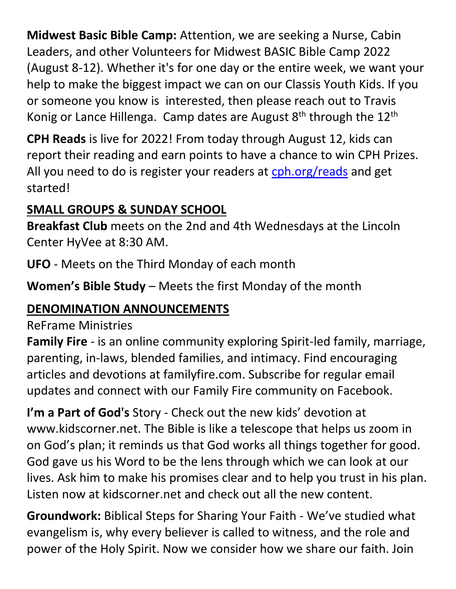**Midwest Basic Bible Camp:** Attention, we are seeking a Nurse, Cabin Leaders, and other Volunteers for Midwest BASIC Bible Camp 2022 (August 8-12). Whether it's for one day or the entire week, we want your help to make the biggest impact we can on our Classis Youth Kids. If you or someone you know is interested, then please reach out to Travis Konig or Lance Hillenga. Camp dates are August  $8<sup>th</sup>$  through the  $12<sup>th</sup>$ 

**CPH Reads** is live for 2022! From today through August 12, kids can report their reading and earn points to have a chance to win CPH Prizes. All you need to do is register your readers at [cph.org/reads](https://communication.cph.org/e3t/Ctc/DH+113/c359504/VVQhsJ7gHCr6W6gpsVY8qF79JW4vJbXQ4KLQWQN9k7M9h3q3n5V1-WJV7CgZdRW8bY8LS5BnSHJW5xwhBg8X-B6zVGCD7K9m0kSVW1d-MBR4qnv1xW12PMXq70pBbgW8q90Kb6WZ0F_VWJG-D8slZlbW7Fngrp4gjpM7W2dC1W15TWT09W5w1GPx8W9zGHN2tJGRkYFDVFW4k1Zcf7jbz8vVFLKy55h-vHDW73rvFj6tzS3YW1qX6zs5_xwF0W6FDvBp8zQVDYW3SVzyd6Rv2D5W4xk2Cd6B1CVMW4H_RJH1sxP4KW2xSFp738gbNH36TH1) and get started!

# **SMALL GROUPS & SUNDAY SCHOOL**

**Breakfast Club** meets on the 2nd and 4th Wednesdays at the Lincoln Center HyVee at 8:30 AM.

**UFO** - Meets on the Third Monday of each month

**Women's Bible Study** – Meets the first Monday of the month

## **DENOMINATION ANNOUNCEMENTS**

#### ReFrame Ministries

**Family Fire** - is an online community exploring Spirit-led family, marriage, parenting, in-laws, blended families, and intimacy. Find encouraging articles and devotions at familyfire.com. Subscribe for regular email updates and connect with our Family Fire community on Facebook.

**I'm a Part of God's** Story - Check out the new kids' devotion at www.kidscorner.net. The Bible is like a telescope that helps us zoom in on God's plan; it reminds us that God works all things together for good. God gave us his Word to be the lens through which we can look at our lives. Ask him to make his promises clear and to help you trust in his plan. Listen now at kidscorner.net and check out all the new content.

**Groundwork:** Biblical Steps for Sharing Your Faith - We've studied what evangelism is, why every believer is called to witness, and the role and power of the Holy Spirit. Now we consider how we share our faith. Join